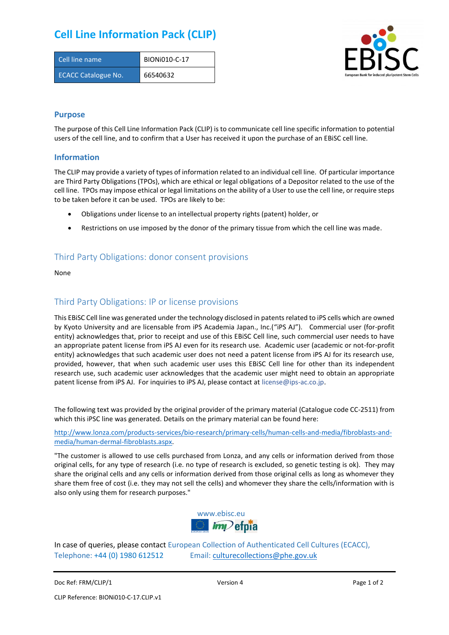# **Cell Line Information Pack (CLIP)**

| Cell line name             | BION <sub>i</sub> 010-C-17 |
|----------------------------|----------------------------|
| <b>ECACC Catalogue No.</b> | 66540632                   |



#### **Purpose**

The purpose of this Cell Line Information Pack (CLIP) is to communicate cell line specific information to potential users of the cell line, and to confirm that a User has received it upon the purchase of an EBiSC cell line.

#### **Information**

The CLIP may provide a variety of types of information related to an individual cell line. Of particular importance are Third Party Obligations (TPOs), which are ethical or legal obligations of a Depositor related to the use of the cell line. TPOs may impose ethical or legal limitations on the ability of a User to use the cell line, or require steps to be taken before it can be used. TPOs are likely to be:

- Obligations under license to an intellectual property rights (patent) holder, or
- Restrictions on use imposed by the donor of the primary tissue from which the cell line was made.

### Third Party Obligations: donor consent provisions

None

#### Third Party Obligations: IP or license provisions

This EBiSC Cell line was generated under the technology disclosed in patents related to iPS cells which are owned by Kyoto University and are licensable from iPS Academia Japan., Inc.("iPS AJ"). Commercial user (for-profit entity) acknowledges that, prior to receipt and use of this EBiSC Cell line, such commercial user needs to have an appropriate patent license from iPS AJ even for its research use. Academic user (academic or not-for-profit entity) acknowledges that such academic user does not need a patent license from iPS AJ for its research use, provided, however, that when such academic user uses this EBiSC Cell line for other than its independent research use, such academic user acknowledges that the academic user might need to obtain an appropriate patent license from iPS AJ. For inquiries to iPS AJ, please contact at [license@ips-ac.co.jp.](mailto:license@ips-ac.co.jp)

The following text was provided by the original provider of the primary material (Catalogue code CC-2511) from which this iPSC line was generated. Details on the primary material can be found here:

[http://www.lonza.com/products-services/bio-research/primary-cells/human-cells-and-media/fibroblasts-and](http://www.lonza.com/products-services/bio-research/primary-cells/human-cells-and-media/fibroblasts-and-media/human-dermal-fibroblasts.aspx)[media/human-dermal-fibroblasts.aspx.](http://www.lonza.com/products-services/bio-research/primary-cells/human-cells-and-media/fibroblasts-and-media/human-dermal-fibroblasts.aspx) 

"The customer is allowed to use cells purchased from Lonza, and any cells or information derived from those original cells, for any type of research (i.e. no type of research is excluded, so genetic testing is ok). They may share the original cells and any cells or information derived from those original cells as long as whomever they share them free of cost (i.e. they may not sell the cells) and whomever they share the cells/information with is also only using them for research purposes."



In case of queries, please contact European Collection of Authenticated Cell Cultures (ECACC), Telephone: +44 (0) 1980 612512 Email: [culturecollections@phe.gov.uk](mailto:culturecollections@phe.gov.uk)

Doc Ref: FRM/CLIP/1 **Docessition 2** Page 1 of 2